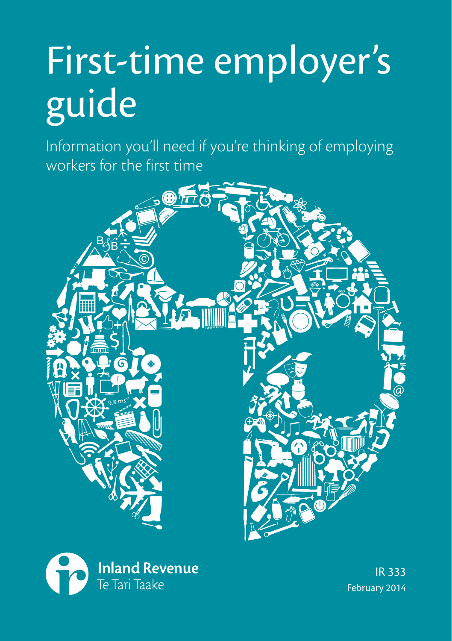# First-time employer's guide

Information you'll need if you're thinking of employing workers for the first time





IR 333 February 2014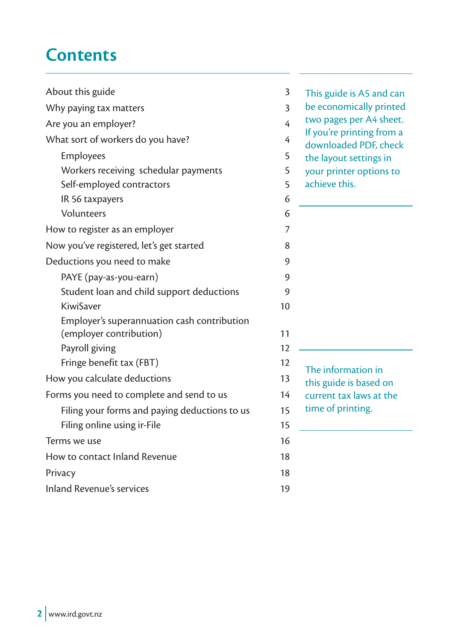# **Contents**

| About this guide<br>3                         |                | This guide is A5 and can                           |
|-----------------------------------------------|----------------|----------------------------------------------------|
| Why paying tax matters                        | 3              | be economically printed                            |
| Are you an employer?                          | $\overline{4}$ | two pages per A4 sheet.                            |
| What sort of workers do you have?             | 4              | If you're printing from a<br>downloaded PDF, check |
| Employees                                     | 5              | the layout settings in                             |
| Workers receiving schedular payments          | 5              | your printer options to                            |
| Self-employed contractors                     | 5              | achieve this.                                      |
| IR 56 taxpayers                               | 6              |                                                    |
| Volunteers                                    | 6              |                                                    |
| How to register as an employer                | 7              |                                                    |
| Now you've registered, let's get started      | 8              |                                                    |
| Deductions you need to make                   | 9              |                                                    |
| PAYE (pay-as-you-earn)                        | 9              |                                                    |
| Student loan and child support deductions     | 9              |                                                    |
| KiwiSaver                                     | 10             |                                                    |
| Employer's superannuation cash contribution   |                |                                                    |
| (employer contribution)                       | 11             |                                                    |
| Payroll giving                                | 12             |                                                    |
| Fringe benefit tax (FBT)                      | 12             | The information in                                 |
| How you calculate deductions                  | 13             | this guide is based on                             |
| Forms you need to complete and send to us     | 14             | current tax laws at the                            |
| Filing your forms and paying deductions to us | 15             | time of printing.                                  |
| Filing online using ir-File                   | 15             |                                                    |
| Terms we use                                  | 16             |                                                    |
| How to contact Inland Revenue                 | 18             |                                                    |
| Privacy                                       | 18             |                                                    |
| Inland Revenue's services                     | 19             |                                                    |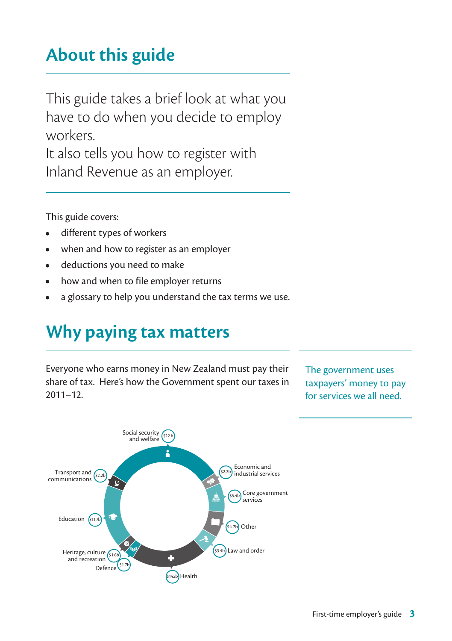# **About this guide**

This guide takes a brief look at what you have to do when you decide to employ workers.

It also tells you how to register with Inland Revenue as an employer.

This guide covers:

- different types of workers
- when and how to register as an employer
- deductions you need to make
- how and when to file employer returns
- a glossary to help you understand the tax terms we use.

# **Why paying tax matters**

Everyone who earns money in New Zealand must pay their share of tax. Here's how the Government spent our taxes in 2011–12.

The government uses taxpayers' money to pay for services we all need.

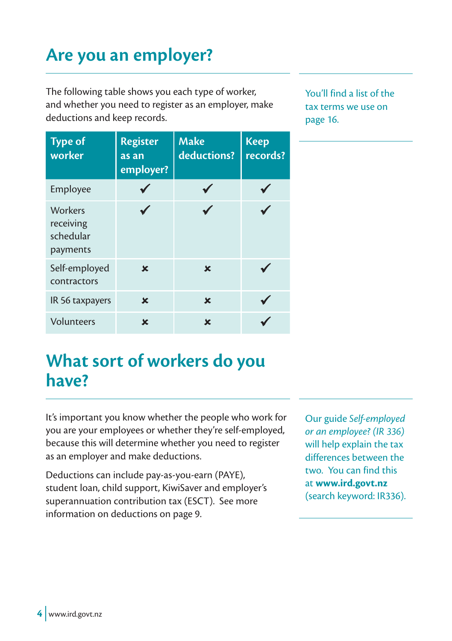# **Are you an employer?**

The following table shows you each type of worker, and whether you need to register as an employer, make deductions and keep records.

You'll find a list of the tax terms we use on page 16.

| <b>Type of</b><br>worker                      | <b>Register</b><br>as an<br>employer? | <b>Make</b><br>deductions? | <b>Keep</b><br>records? |
|-----------------------------------------------|---------------------------------------|----------------------------|-------------------------|
| Employee                                      |                                       |                            |                         |
| Workers<br>receiving<br>schedular<br>payments |                                       |                            |                         |
| Self-employed<br>contractors                  | $\mathbf x$                           | $\mathbf x$                |                         |
| IR 56 taxpayers                               | $\mathbf x$                           | $\mathbf x$                |                         |
| Volunteers                                    | ×                                     | ×                          |                         |

# **What sort of workers do you have?**

It's important you know whether the people who work for you are your employees or whether they're self-employed, because this will determine whether you need to register as an employer and make deductions.

Deductions can include pay-as-you-earn (PAYE), student loan, child support, KiwiSaver and employer's superannuation contribution tax (ESCT). See more information on deductions on page 9.

Our guide *Self-employed or an employee? (IR 336)* will help explain the tax differences between the two. You can find this at **www.ird.govt.nz** (search keyword: IR336).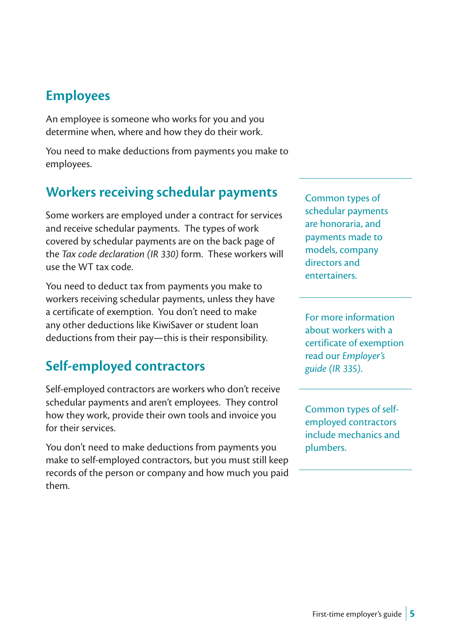## **Employees**

An employee is someone who works for you and you determine when, where and how they do their work.

You need to make deductions from payments you make to employees.

## **Workers receiving schedular payments**

Some workers are employed under a contract for services and receive schedular payments. The types of work covered by schedular payments are on the back page of the *Tax code declaration (IR 330)* form. These workers will use the WT tax code.

You need to deduct tax from payments you make to workers receiving schedular payments, unless they have a certificate of exemption. You don't need to make any other deductions like KiwiSaver or student loan deductions from their pay—this is their responsibility.

## **Self-employed contractors**

Self-employed contractors are workers who don't receive schedular payments and aren't employees. They control how they work, provide their own tools and invoice you for their services.

You don't need to make deductions from payments you make to self-employed contractors, but you must still keep records of the person or company and how much you paid them.

Common types of schedular payments are honoraria, and payments made to models, company directors and entertainers.

For more information about workers with a certificate of exemption read our *Employer's guide (IR 335)*.

Common types of selfemployed contractors include mechanics and plumbers.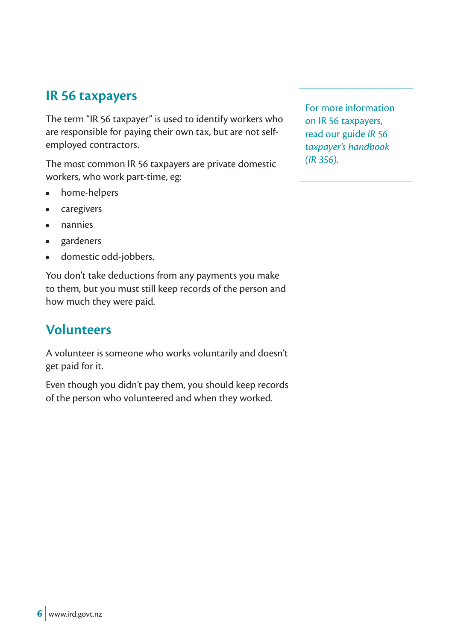#### **IR 56 taxpayers**

The term "IR 56 taxpayer" is used to identify workers who are responsible for paying their own tax, but are not selfemployed contractors.

The most common IR 56 taxpayers are private domestic workers, who work part-time, eg:

- home-helpers
- caregivers
- nannies
- gardeners
- domestic odd-jobbers.

You don't take deductions from any payments you make to them, but you must still keep records of the person and how much they were paid.

#### **Volunteers**

A volunteer is someone who works voluntarily and doesn't get paid for it.

Even though you didn't pay them, you should keep records of the person who volunteered and when they worked.

For more information on IR 56 taxpayers, read our guide *IR 56 taxpayer's handbook (IR 356)*.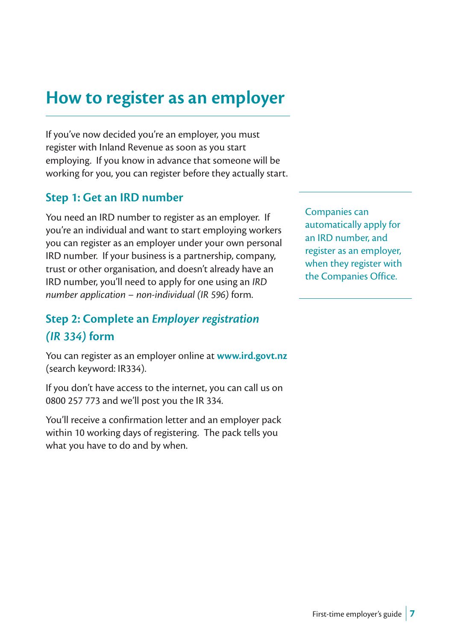# **How to register as an employer**

If you've now decided you're an employer, you must register with Inland Revenue as soon as you start employing. If you know in advance that someone will be working for you, you can register before they actually start.

#### **Step 1: Get an IRD number**

You need an IRD number to register as an employer. If you're an individual and want to start employing workers you can register as an employer under your own personal IRD number. If your business is a partnership, company, trust or other organisation, and doesn't already have an IRD number, you'll need to apply for one using an *IRD number application – non-individual (IR 596)* form.

#### **Step 2: Complete an** *Employer registration (IR 334)* **form**

You can register as an employer online at **www.ird.govt.nz** (search keyword: IR334).

If you don't have access to the internet, you can call us on 0800 257 773 and we'll post you the IR 334.

You'll receive a confirmation letter and an employer pack within 10 working days of registering. The pack tells you what you have to do and by when.

Companies can automatically apply for an IRD number, and register as an employer, when they register with the Companies Office.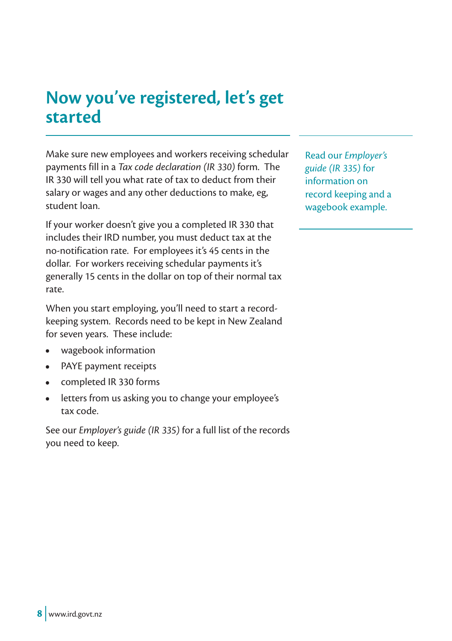# **Now you've registered, let's get started**

Make sure new employees and workers receiving schedular payments fill in a *Tax code declaration (IR 330)* form. The IR 330 will tell you what rate of tax to deduct from their salary or wages and any other deductions to make, eg, student loan.

If your worker doesn't give you a completed IR 330 that includes their IRD number, you must deduct tax at the no-notification rate. For employees it's 45 cents in the dollar. For workers receiving schedular payments it's generally 15 cents in the dollar on top of their normal tax rate.

When you start employing, you'll need to start a recordkeeping system. Records need to be kept in New Zealand for seven years. These include:

- wagebook information
- PAYE payment receipts
- completed IR 330 forms
- letters from us asking you to change your employee's tax code.

See our *Employer's guide (IR 335)* for a full list of the records you need to keep.

Read our *Employer's guide (IR 335)* for information on record keeping and a wagebook example.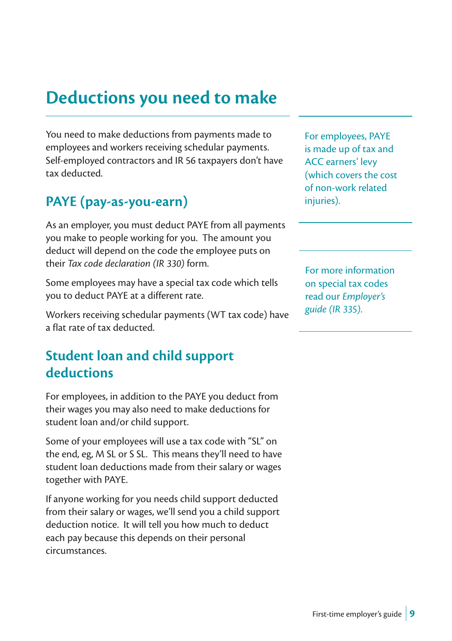# **Deductions you need to make**

You need to make deductions from payments made to employees and workers receiving schedular payments. Self-employed contractors and IR 56 taxpayers don't have tax deducted.

### **PAYE (pay-as-you-earn)**

As an employer, you must deduct PAYE from all payments you make to people working for you. The amount you deduct will depend on the code the employee puts on their *Tax code declaration (IR 330)* form.

Some employees may have a special tax code which tells you to deduct PAYE at a different rate.

Workers receiving schedular payments (WT tax code) have a flat rate of tax deducted.

## **Student loan and child support deductions**

For employees, in addition to the PAYE you deduct from their wages you may also need to make deductions for student loan and/or child support.

Some of your employees will use a tax code with "SL" on the end, eg, M SL or S SL. This means they'll need to have student loan deductions made from their salary or wages together with PAYE.

If anyone working for you needs child support deducted from their salary or wages, we'll send you a child support deduction notice. It will tell you how much to deduct each pay because this depends on their personal circumstances.

For employees, PAYE is made up of tax and ACC earners' levy (which covers the cost of non-work related injuries).

For more information on special tax codes read our *Employer's guide (IR 335)*.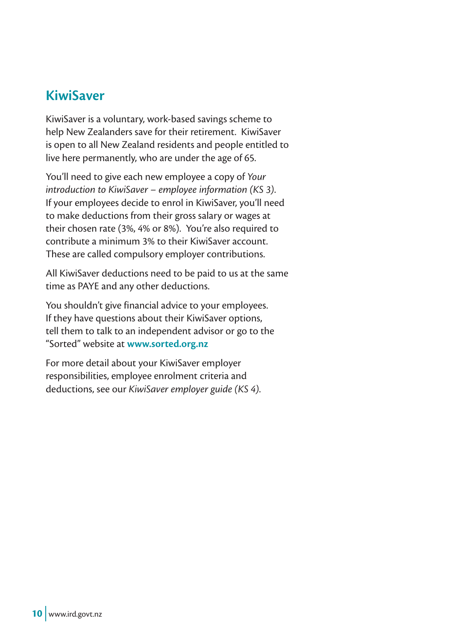#### **KiwiSaver**

KiwiSaver is a voluntary, work-based savings scheme to help New Zealanders save for their retirement. KiwiSaver is open to all New Zealand residents and people entitled to live here permanently, who are under the age of 65.

You'll need to give each new employee a copy of *Your introduction to KiwiSaver – employee information (KS 3)*. If your employees decide to enrol in KiwiSaver, you'll need to make deductions from their gross salary or wages at their chosen rate (3%, 4% or 8%). You're also required to contribute a minimum 3% to their KiwiSaver account. These are called compulsory employer contributions.

All KiwiSaver deductions need to be paid to us at the same time as PAYE and any other deductions.

You shouldn't give financial advice to your employees. If they have questions about their KiwiSaver options, tell them to talk to an independent advisor or go to the "Sorted" website at **www.sorted.org.nz**

For more detail about your KiwiSaver employer responsibilities, employee enrolment criteria and deductions, see our *KiwiSaver employer guide (KS 4)*.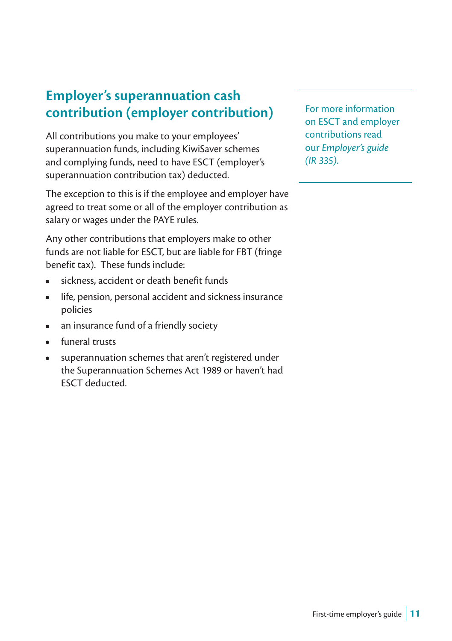## **Employer's superannuation cash contribution (employer contribution)**

All contributions you make to your employees' superannuation funds, including KiwiSaver schemes and complying funds, need to have ESCT (employer's superannuation contribution tax) deducted.

The exception to this is if the employee and employer have agreed to treat some or all of the employer contribution as salary or wages under the PAYE rules.

Any other contributions that employers make to other funds are not liable for ESCT, but are liable for FBT (fringe benefit tax). These funds include:

- sickness, accident or death benefit funds
- life, pension, personal accident and sickness insurance policies
- an insurance fund of a friendly society
- funeral trusts
- superannuation schemes that aren't registered under the Superannuation Schemes Act 1989 or haven't had ESCT deducted.

For more information on ESCT and employer contributions read our *Employer's guide (IR 335)*.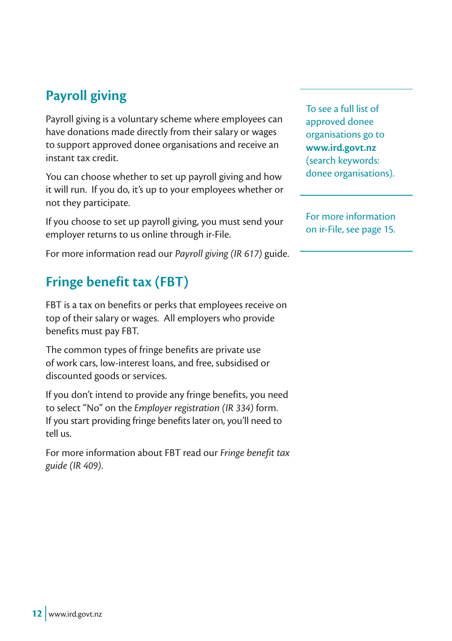## **Payroll giving**

Payroll giving is a voluntary scheme where employees can have donations made directly from their salary or wages to support approved donee organisations and receive an instant tax credit.

You can choose whether to set up payroll giving and how it will run. If you do, it's up to your employees whether or not they participate.

If you choose to set up payroll giving, you must send your employer returns to us online through ir-File.

For more information read our *Payroll giving (IR 617)* guide.

## **Fringe benefit tax (FBT)**

FBT is a tax on benefits or perks that employees receive on top of their salary or wages. All employers who provide benefits must pay FBT.

The common types of fringe benefits are private use of work cars, low-interest loans, and free, subsidised or discounted goods or services.

If you don't intend to provide any fringe benefits, you need to select "No" on the *Employer registration (IR 334)* form. If you start providing fringe benefits later on, you'll need to tell us.

For more information about FBT read our *Fringe benefit tax guide (IR 409)*.

To see a full list of approved donee organisations go to **www.ird.govt.nz** (search keywords: donee organisations).

For more information on ir-File, see page 15.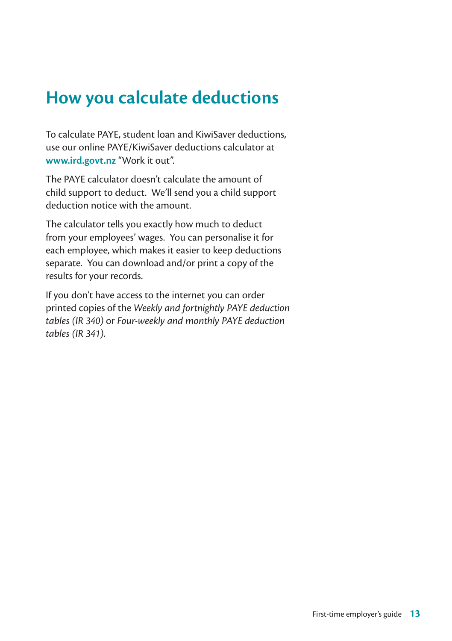# **How you calculate deductions**

To calculate PAYE, student loan and KiwiSaver deductions, use our online PAYE/KiwiSaver deductions calculator at **www.ird.govt.nz** "Work it out".

The PAYE calculator doesn't calculate the amount of child support to deduct. We'll send you a child support deduction notice with the amount.

The calculator tells you exactly how much to deduct from your employees' wages. You can personalise it for each employee, which makes it easier to keep deductions separate. You can download and/or print a copy of the results for your records.

If you don't have access to the internet you can order printed copies of the *Weekly and fortnightly PAYE deduction tables (IR 340)* or *Four-weekly and monthly PAYE deduction tables (IR 341)*.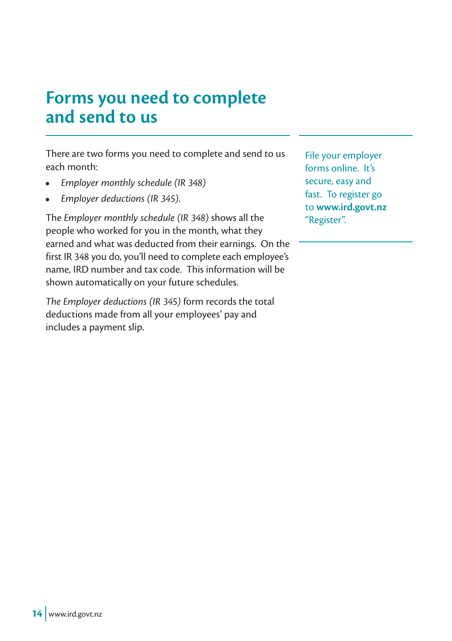# **Forms you need to complete and send to us**

There are two forms you need to complete and send to us each month:

- *Employer monthly schedule (IR 348)*
- *Employer deductions (IR 345)*.

The *Employer monthly schedule (IR 348)* shows all the people who worked for you in the month, what they earned and what was deducted from their earnings. On the first IR 348 you do, you'll need to complete each employee's name, IRD number and tax code. This information will be shown automatically on your future schedules.

*The Employer deductions (IR 345)* form records the total deductions made from all your employees' pay and includes a payment slip.

File your employer forms online. It's secure, easy and fast. To register go to **www.ird.govt.nz** "Register".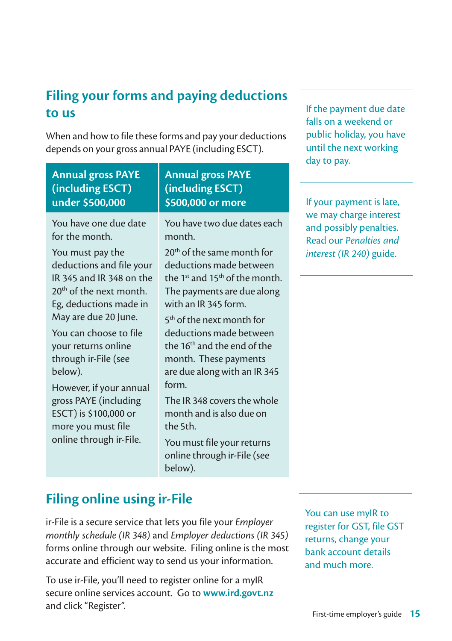## **Filing your forms and paying deductions to us**

When and how to file these forms and pay your deductions depends on your gross annual PAYE (including ESCT).

| <b>Annual gross PAYE</b><br>(including ESCT)<br>under \$500,000                                                                                                                                                                                                                                                                                                                                                      | <b>Annual gross PAYE</b><br>(including ESCT)<br>\$500,000 or more                                                                                                                                                                                                                                                                                                                                                                                                                                                                                          | If your payment is late,                                                                                |
|----------------------------------------------------------------------------------------------------------------------------------------------------------------------------------------------------------------------------------------------------------------------------------------------------------------------------------------------------------------------------------------------------------------------|------------------------------------------------------------------------------------------------------------------------------------------------------------------------------------------------------------------------------------------------------------------------------------------------------------------------------------------------------------------------------------------------------------------------------------------------------------------------------------------------------------------------------------------------------------|---------------------------------------------------------------------------------------------------------|
| You have one due date<br>for the month.<br>You must pay the<br>deductions and file your<br>IR 345 and IR 348 on the<br>$20th$ of the next month.<br>Eg, deductions made in<br>May are due 20 June.<br>You can choose to file<br>your returns online<br>through ir-File (see<br>below).<br>However, if your annual<br>gross PAYE (including<br>ESCT) is \$100,000 or<br>more you must file<br>online through ir-File. | You have two due dates each<br>month.<br>20 <sup>th</sup> of the same month for<br>deductions made between<br>the 1 <sup>st</sup> and 15 <sup>th</sup> of the month.<br>The payments are due along<br>with an IR 345 form.<br>5 <sup>th</sup> of the next month for<br>deductions made between<br>the 16 <sup>th</sup> and the end of the<br>month. These payments<br>are due along with an IR 345<br>form.<br>The IR 348 covers the whole<br>month and is also due on<br>the 5th.<br>You must file your returns<br>online through ir-File (see<br>below). | we may charge interest<br>and possibly penalties.<br>Read our Penalties and<br>interest (IR 240) guide. |

### **Filing online using ir-File**

ir-File is a secure service that lets you file your *Employer monthly schedule (IR 348)* and *Employer deductions (IR 345)* forms online through our website. Filing online is the most accurate and efficient way to send us your information.

To use ir-File, you'll need to register online for a myIR secure online services account. Go to **www.ird.govt.nz** and click "Register".

You can use myIR to register for GST, file GST returns, change your bank account details and much more.

If the payment due date falls on a weekend or public holiday, you have until the next working

day to pay.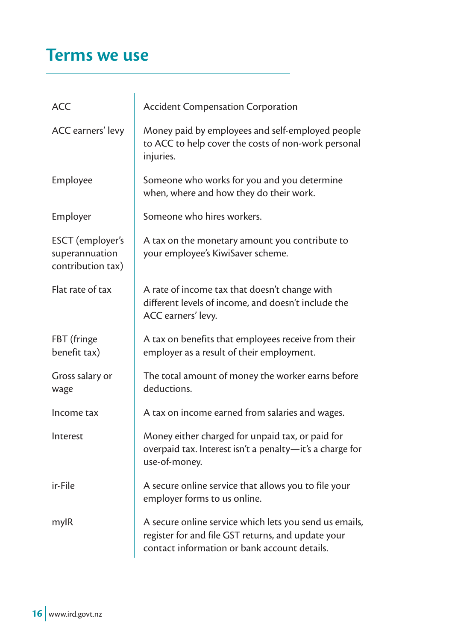# **Terms we use**

| <b>ACC</b>                                              | <b>Accident Compensation Corporation</b>                                                                                                                     |
|---------------------------------------------------------|--------------------------------------------------------------------------------------------------------------------------------------------------------------|
| ACC earners' levy                                       | Money paid by employees and self-employed people<br>to ACC to help cover the costs of non-work personal<br>injuries.                                         |
| Employee                                                | Someone who works for you and you determine<br>when, where and how they do their work.                                                                       |
| Employer                                                | Someone who hires workers.                                                                                                                                   |
| ESCT (employer's<br>superannuation<br>contribution tax) | A tax on the monetary amount you contribute to<br>your employee's KiwiSaver scheme.                                                                          |
| Flat rate of tax                                        | A rate of income tax that doesn't change with<br>different levels of income, and doesn't include the<br>ACC earners' levy.                                   |
| FBT (fringe<br>benefit tax)                             | A tax on benefits that employees receive from their<br>employer as a result of their employment.                                                             |
| Gross salary or<br>wage                                 | The total amount of money the worker earns before<br>deductions.                                                                                             |
| Income tax                                              | A tax on income earned from salaries and wages.                                                                                                              |
| Interest                                                | Money either charged for unpaid tax, or paid for<br>overpaid tax. Interest isn't a penalty-it's a charge for<br>use-of-money.                                |
| ir-File                                                 | A secure online service that allows you to file your<br>employer forms to us online.                                                                         |
| mylR                                                    | A secure online service which lets you send us emails,<br>register for and file GST returns, and update your<br>contact information or bank account details. |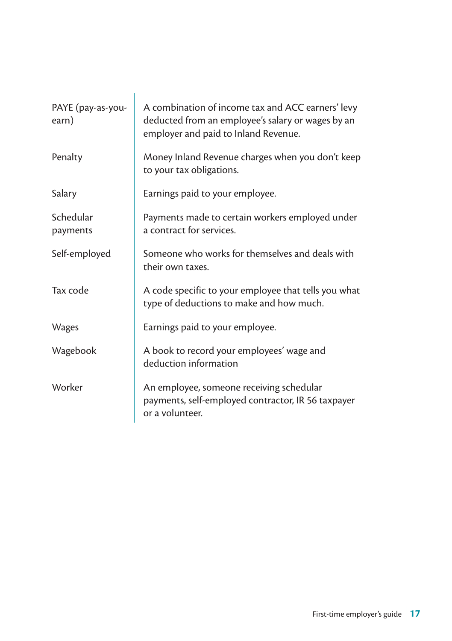| PAYE (pay-as-you-<br>earn) | A combination of income tax and ACC earners' levy<br>deducted from an employee's salary or wages by an<br>employer and paid to Inland Revenue. |
|----------------------------|------------------------------------------------------------------------------------------------------------------------------------------------|
| Penalty                    | Money Inland Revenue charges when you don't keep<br>to your tax obligations.                                                                   |
| Salary                     | Earnings paid to your employee.                                                                                                                |
| Schedular<br>payments      | Payments made to certain workers employed under<br>a contract for services.                                                                    |
| Self-employed              | Someone who works for themselves and deals with<br>their own taxes.                                                                            |
| Tax code                   | A code specific to your employee that tells you what<br>type of deductions to make and how much.                                               |
| <b>Wages</b>               | Earnings paid to your employee.                                                                                                                |
| Wagebook                   | A book to record your employees' wage and<br>deduction information                                                                             |
| Worker                     | An employee, someone receiving schedular<br>payments, self-employed contractor, IR 56 taxpayer<br>or a volunteer.                              |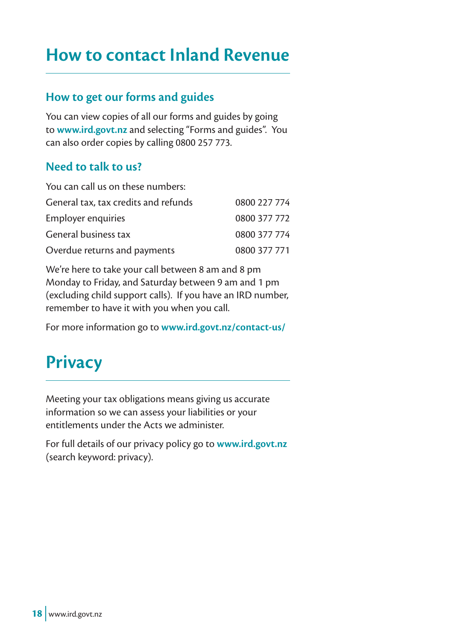# **How to contact Inland Revenue**

#### **How to get our forms and guides**

You can view copies of all our forms and guides by going to **www.ird.govt.nz** and selecting "Forms and guides". You can also order copies by calling 0800 257 773.

#### **Need to talk to us?**

| You can call us on these numbers:    |              |
|--------------------------------------|--------------|
| General tax, tax credits and refunds | 0800 227 774 |
| <b>Employer enquiries</b>            | 0800 377 772 |
| General business tax                 | 0800 377 774 |
| Overdue returns and payments         | 0800 377 771 |

We're here to take your call between 8 am and 8 pm Monday to Friday, and Saturday between 9 am and 1 pm (excluding child support calls). If you have an IRD number, remember to have it with you when you call.

For more information go to **www.ird.govt.nz/contact-us/**

# **Privacy**

Meeting your tax obligations means giving us accurate information so we can assess your liabilities or your entitlements under the Acts we administer.

For full details of our privacy policy go to **www.ird.govt.nz** (search keyword: privacy).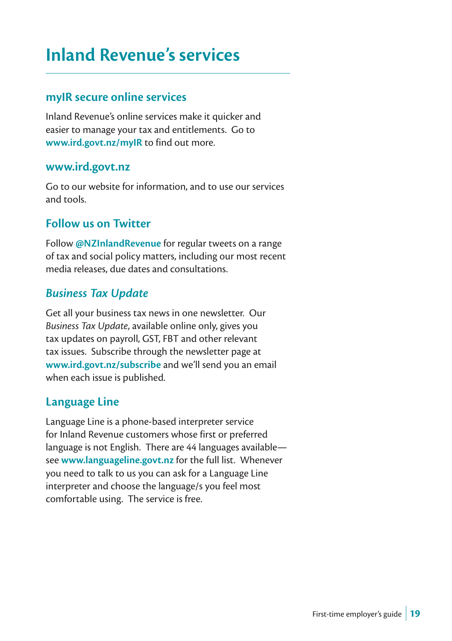# **Inland Revenue's services**

#### **myIR secure online services**

Inland Revenue's online services make it quicker and easier to manage your tax and entitlements. Go to **www.ird.govt.nz/myIR** to find out more.

#### **www.ird.govt.nz**

Go to our website for information, and to use our services and tools.

#### **Follow us on Twitter**

Follow **@NZInlandRevenue** for regular tweets on a range of tax and social policy matters, including our most recent media releases, due dates and consultations.

#### *Business Tax Update*

Get all your business tax news in one newsletter. Our *Business Tax Update*, available online only, gives you tax updates on payroll, GST, FBT and other relevant tax issues. Subscribe through the newsletter page at **www.ird.govt.nz/subscribe** and we'll send you an email when each issue is published.

#### **Language Line**

Language Line is a phone-based interpreter service for Inland Revenue customers whose first or preferred language is not English. There are 44 languages available see **www.languageline.govt.nz** for the full list. Whenever you need to talk to us you can ask for a Language Line interpreter and choose the language/s you feel most comfortable using. The service is free.